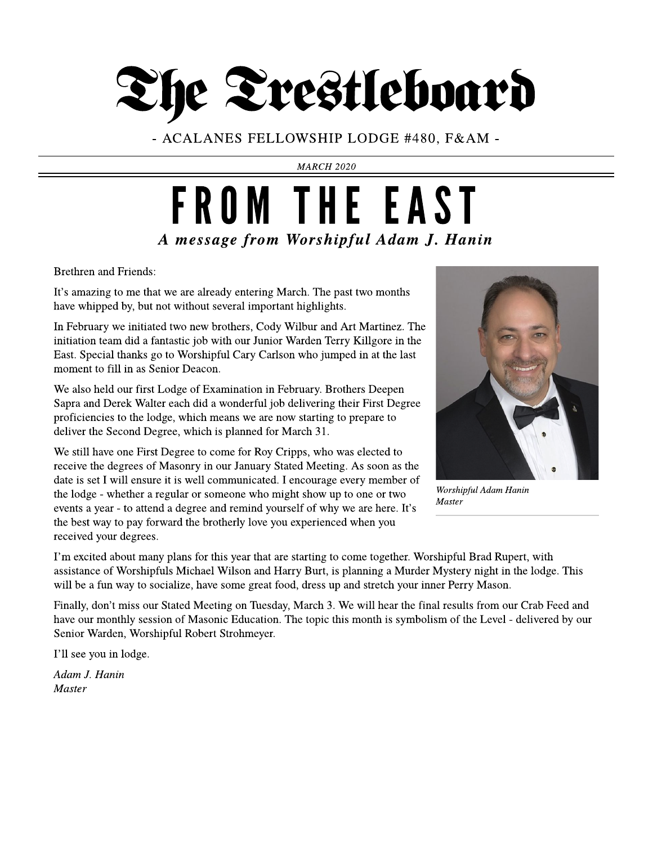

- ACALANES FELLOWSHIP LODGE #480, F& AM -

**MARCH 2020**

### **A message from Worshipful Adam J. Hanin** FROM THE EAST

Brethren and Friends:

It's amazing to me that we are already entering March. The past two months have whipped by, but not without several important highlights.

In February we initiated two new brothers, Cody Wilbur and Art Martinez. The initiation team did a fantastic job with our Junior Warden Terry Killgore in the East. Special thanks go to Worshipful Cary Carlson who jumped in at the last moment to fill in as Senior Deacon.

We also held our first Lodge of Examination in February. Brothers Deepen Sapraand Derek Walter each did awonderful job delivering their First Degree proficiencies to the lodge, which means we are now starting to prepare to deliver the Second Degree, which is planned for March 31.

We still have one First Degree to come for Roy Cripps, who was elected to receive the degrees of Masonry in our January Stated Meeting. As soon as the date is set I will ensure it is well communicated. I encourage every member of the lodge - whether a regular or someone who might show up to one or two events a year - to attend a degree and remind yourself of why we are here. It's the best way to pay forward the brotherly love you experienced when you received your degrees.



**Worshipful AdamHanin Master**

I?m excited about many plans for this year that are starting to come together. Worshipful Brad Rupert, with assistance of Worshipfuls Michael Wilson and Harry Burt, is planning a Murder Mystery night in the lodge. This will be a fun way to socialize, have some great food, dress up and stretch your inner Perry Mason.

Finally, don't miss our Stated Meeting on Tuesday, March 3. We will hear the final results from our Crab Feed and have our monthly session of Masonic Education. The topic this month is symbolism of the Level - delivered by our Senior Warden, Worshipful Robert Strohmeyer.

I'll see you in lodge.

**AdamJ. Hanin Master**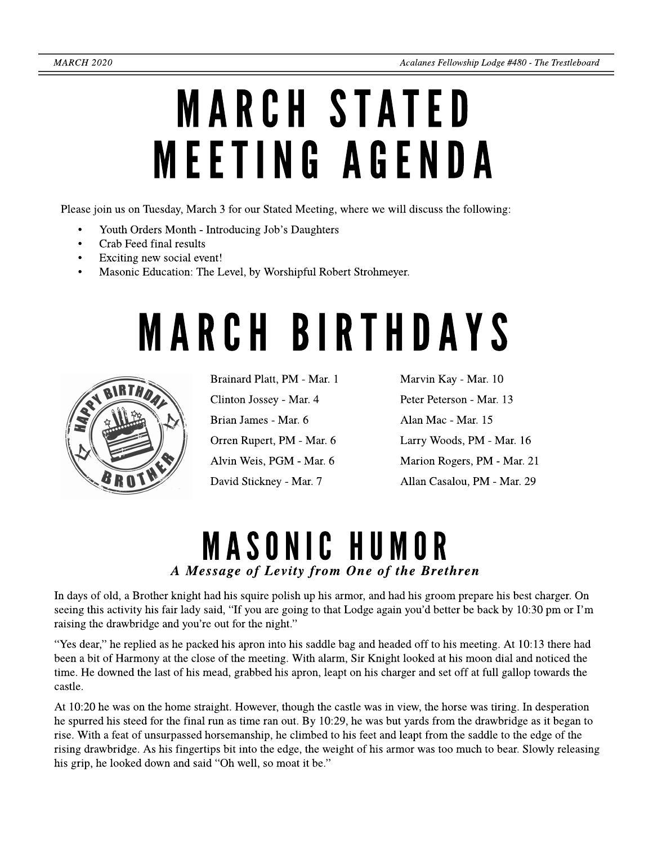# **MARCH STATED** MEETING AGENDA

Please join us on Tuesday, March 3 for our Stated Meeting, where we will discuss the following:

- Youth Orders Month Introducing Job's Daughters
- Crab Feed final results
- Exciting new social event!
- Masonic Education: The Level, by Worshipful Robert Strohmeyer.

# **MARCH BIRTHDAYS**



Brainard Platt, PM - Mar. 1 Clinton Jossey - Mar. 4 Brian James - Mar. 6 Orren Rupert, PM - Mar. 6 Alvin Weis, PGM - Mar. 6 David Stickney - Mar. 7

Marvin Kay - Mar. 10 Peter Peterson - Mar. 13 Alan Mac - Mar. 15 Larry Woods, PM - Mar. 16 Marion Rogers, PM - Mar. 21 Allan Casalou, PM - Mar. 29

### MASONIC HUMOR **A Message of Levity from One of the Brethren**

In days of old, a Brother knight had his squire polish up his armor, and had his groom prepare his best charger. On seeing this activity his fair lady said, "If you are going to that Lodge again you'd better be back by 10:30 pm or I'm raising the drawbridge and you're out for the night."

"Yes dear," he replied as he packed his apron into his saddle bag and headed off to his meeting. At 10:13 there had been a bit of Harmony at the close of the meeting. With alarm, Sir Knight looked at his moon dial and noticed the time. Hedowned thelast of his mead, grabbed his apron, leapt on his charger and set off at full gallop towards the castle.

At 10:20 he was on the home straight. However, though the castle was in view, the horse was tiring. In desperation he spurred his steed for the final run as time ran out. By 10:29, he was but yards from the drawbridge as it began to rise. With afeat of unsurpassed horsemanship, heclimbed to his feet and leapt from thesaddleto theedge of the rising drawbridge. As his fingertips bit into theedge, theweight of his armor was too much to bear. Slowly releasing his grip, he looked down and said "Oh well, so moat it be."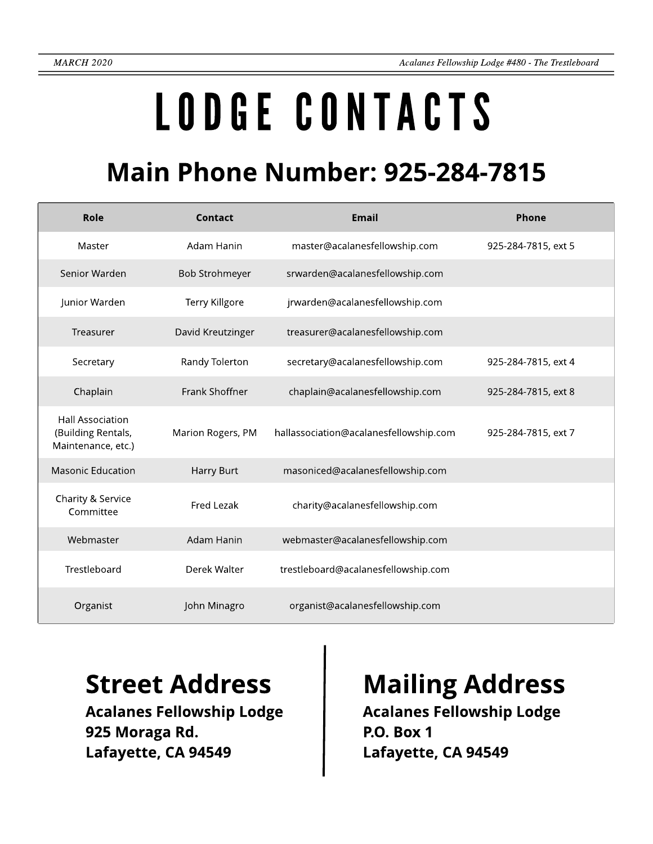# LODGECONTACTS

### **Main Phone Number: 925-284-7815**

| Role                                                                | Contact               | <b>Email</b>                           | Phone               |
|---------------------------------------------------------------------|-----------------------|----------------------------------------|---------------------|
| Master                                                              | Adam Hanin            | master@acalanesfellowship.com          | 925-284-7815, ext 5 |
| Senior Warden                                                       | <b>Bob Strohmeyer</b> | srwarden@acalanesfellowship.com        |                     |
| Junior Warden                                                       | Terry Killgore        | jrwarden@acalanesfellowship.com        |                     |
| Treasurer                                                           | David Kreutzinger     | treasurer@acalanesfellowship.com       |                     |
| Secretary                                                           | Randy Tolerton        | secretary@acalanesfellowship.com       | 925-284-7815, ext 4 |
| Chaplain                                                            | Frank Shoffner        | chaplain@acalanesfellowship.com        | 925-284-7815, ext 8 |
| <b>Hall Association</b><br>(Building Rentals,<br>Maintenance, etc.) | Marion Rogers, PM     | hallassociation@acalanesfellowship.com | 925-284-7815, ext 7 |
| <b>Masonic Education</b>                                            | Harry Burt            | masoniced@acalanesfellowship.com       |                     |
| Charity & Service<br>Committee                                      | Fred Lezak            | charity@acalanesfellowship.com         |                     |
| Webmaster                                                           | Adam Hanin            | webmaster@acalanesfellowship.com       |                     |
| Trestleboard                                                        | Derek Walter          | trestleboard@acalanesfellowship.com    |                     |
| Organist                                                            | John Minagro          | organist@acalanesfellowship.com        |                     |

Acalanes Fellowship Lodge 925 Moraga Rd. Lafayette, CA 94549

### Street Address | Mailing Address

Acalanes Fellowship Lodge P.O. Box 1 Lafayette, CA 94549